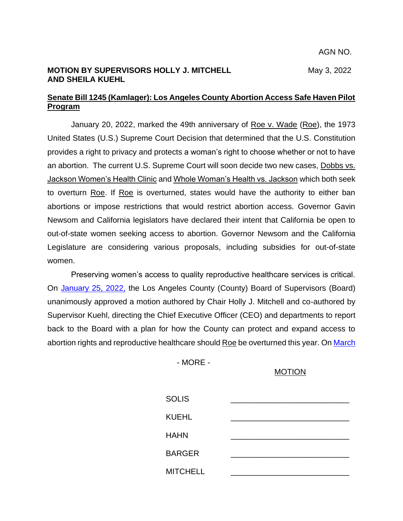### **MOTION BY SUPERVISORS HOLLY J. MITCHELL** May 3, 2022 **AND SHEILA KUEHL**

## **Senate Bill 1245 (Kamlager): Los Angeles County Abortion Access Safe Haven Pilot Program**

January 20, 2022, marked the 49th anniversary of Roe v. Wade (Roe), the 1973 United States (U.S.) Supreme Court Decision that determined that the U.S. Constitution provides a right to privacy and protects a woman's right to choose whether or not to have an abortion. The current U.S. Supreme Court will soon decide two new cases, Dobbs vs. Jackson Women's Health Clinic and Whole Woman's Health vs. Jackson which both seek to overturn Roe. If Roe is overturned, states would have the authority to either ban abortions or impose restrictions that would restrict abortion access. Governor Gavin Newsom and California legislators have declared their intent that California be open to out-of-state women seeking access to abortion. Governor Newsom and the California Legislature are considering various proposals, including subsidies for out-of-state women.

Preserving women's access to quality reproductive healthcare services is critical. On [January 25, 2022,](http://file.lacounty.gov/SDSInter/bos/supdocs/165614.pdf) the Los Angeles County (County) Board of Supervisors (Board) unanimously approved a motion authored by Chair Holly J. Mitchell and co-authored by Supervisor Kuehl, directing the Chief Executive Officer (CEO) and departments to report back to the Board with a plan for how the County can protect and expand access to abortion rights and reproductive healthcare should Roe be overturned this year. On March

- MORE -

# MOTION

| <b>SOLIS</b>    |  |
|-----------------|--|
| <b>KUEHL</b>    |  |
| <b>HAHN</b>     |  |
| <b>BARGER</b>   |  |
| <b>MITCHELL</b> |  |